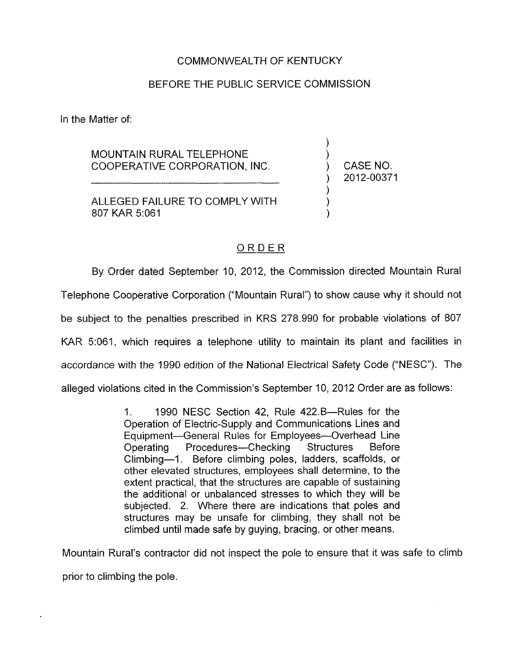# COMMONWEALTH OF KENTUCKY

# BEFORE THE PUBLIC SERVICE COMMISSION

In the Matter of:

MOUNTAIN RURAL TELEPHONE COOPERATIVE CORPORATION, INC.

ALLEGED FAILURE TO COMPLY WITH 807 KAR 5:061 LY WITH<br><u>O R D E R</u>

CASE NO. ) 2012-00371

 $\sum_{i=1}^{n}$  $\sum_{i=1}^{n}$ 

) ) )

By Order dated September 10, 2012, the Commission directed Mountain Rural Telephone Cooperative Corporation ("Mountain Rural") to show cause why it should not be subject to the penalties prescribed in KRS 278.990 for probable violations of 807 KAR 5:061, which requires a telephone utility to maintain its plant and facilities in accordance with the 1990 edition of the National Electrical Safety Code ("NESC"). The alleged violations cited in the Commission's September 10, 2012 Order are as follows:

> 1. 1990 NESC Section 42, Rule 422.B-Rules for the Operation of Electric-Supply and Communications Lines and Equipment-General Rules for Employees--Overhead Line Operating Procedures-Checking Structures Before Climbing-1. Before climbing poles, ladders, scaffolds, or other elevated structures, employees shall determine, to the extent practical, that the structures are capable of sustaining the additional or unbalanced stresses to which they will be subjected. 2. Where there are indications that poles and structures may be unsafe for climbing, they shall not be climbed until made safe by guying, bracing, or other means.

Mountain Rural's contractor did not inspect the pole to ensure that it was safe to climb prior to climbing the pole.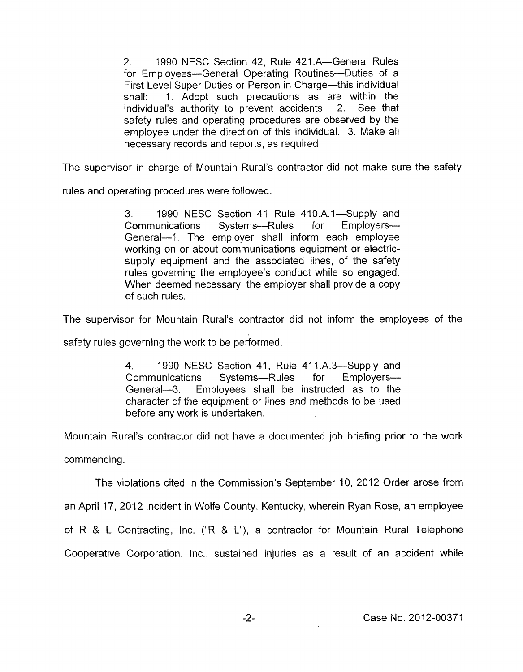2. 1990 NESC Section 42, Rule 421.A-General Rules for Employees-General Operating Routines-Duties of a First Level Super Duties or Person in Charge-this individual shall: 1. Adopt such precautions as are within the individual's authority to prevent accidents. 2. See that safety rules and operating procedures are observed by the employee under the direction of this individual. 3. Make all necessary records and reports, as required.

The supervisor in charge of Mountain Rural's contractor did not make sure the safety

rules and operating procedures were followed.

3. 1990 NESC Section 41 Rule 410.A.1—Supply and Communications Systems--Rules for Employers-General-1. The employer shall inform each employee working on or about communications equipment or electricsupply equipment and the associated lines, of the safety rules governing the employee's conduct while so engaged. When deemed necessary, the employer shall provide a copy of such rules.

The supervisor for Mountain Rural's contractor did not inform the employees of the

safety rules governing the work to be performed.

**4.** 1990 NESC Section 41, Rule 411.A.3-Supply and Communications Systems---Rules for Employers-General-3. Employees shall be instructed as to the character of the equipment or lines and methods to be used before any work is undertaken.

Mountain Rural's contractor did not have a documented job briefing prior to the work commencing.

The violations cited in the Commission's September IO, 2012 Order arose from

an April 17, 2012 incident in Wolfe County, Kentucky, wherein Ryan Rose, an employee

of R & L Contracting, Inc. ("R & L"), a contractor for Mountain Rural Telephone

Cooperative Corporation, Inc., sustained injuries as a result of an accident while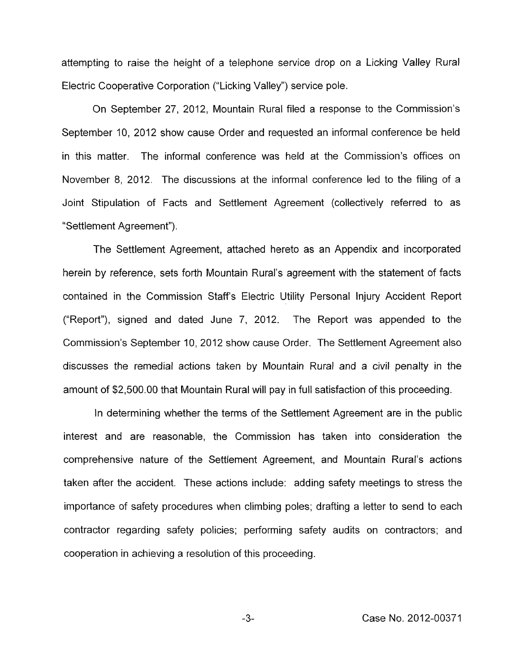attempting to raise the height of a telephone service drop on a Licking Valley Rural Electric Cooperative Corporation ("Licking Valley") service pole.

On September 27, 2012, Mountain Rural filed a response to the Commission's September IO, 2012 show cause Order and requested an informal conference be held in this matter. The informal conference was held at the Commission's offices on November 8, 2012. The discussions at the informal conference led to the filing of a Joint Stipulation of Facts and Settlement Agreement (collectively referred to as "Settlement Agreement").

The Settlement Agreement, attached hereto as an Appendix and incorporated herein by reference, sets forth Mountain Rural's agreement with the statement of facts contained in the Commission Staffs Electric Utility Personal Injury Accident Report ("Report"), signed and dated June  $7$ , 2012. The Report was appended to the Commission's September IO, 2012 show cause Order. The Settlement Agreement also discusses the remedial actions taken by Mountain Rural and a civil penalty in the amount of \$2,500.00 that Mountain Rural will pay in full satisfaction of this proceeding.

In determining whether the terms of the Settlement Agreement are in the public interest and are reasonable, the Commission has taken into consideration the comprehensive nature of the Settlement Agreement, and Mountain Rural's actions taken after the accident. These actions include: adding safety meetings to stress the importance of safety procedures when climbing poles; drafting a letter to send to each contractor regarding safety policies; performing safety audits on contractors; and cooperation in achieving a resolution of this proceeding.

-3- Case No. 2012-00371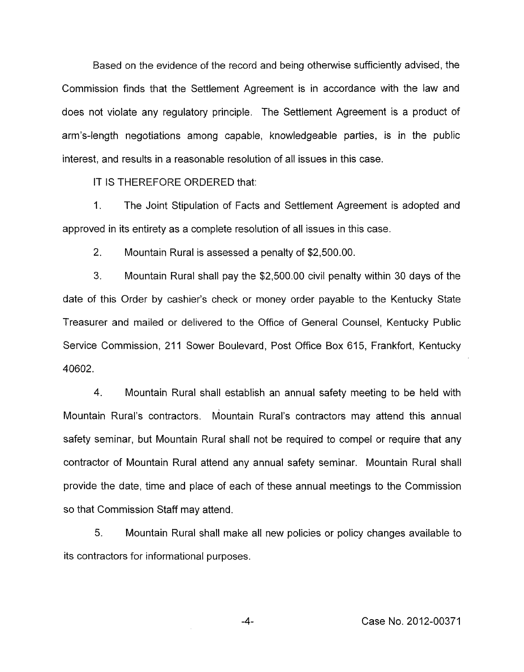Based on the evidence of the record and being otherwise sufficiently advised, the Commission finds that the Settlement Agreement is in accordance with the law and does not violate any regulatory principle. The Settlement Agreement is a product of arm's-length negotiations among capable, knowledgeable parties, is in the public interest, and results in a reasonable resolution of all issues in this case.

IT IS THEREFORE ORDERED that:

1. The Joint Stipulation of Facts and Settlement Agreement is adopted and approved in its entirety as a complete resolution of all issues in this case.

2. Mountain Rural is assessed a penalty of \$2,500.00.

3. Mountain Rural shall pay the \$2,500.00 civil penalty within 30 days of the date of this Order by cashier's check or money order payable to the Kentucky State Treasurer and mailed or delivered to the Office of General Counsel, Kentucky Public Service Commission, 211 Sower Boulevard, Post Office Box 615, Frankfort, Kentucky 40602.

4. Mountain Rural shall establish an annual safety meeting to be held with Mountain Rural's contractors. Mountain Rural's contractors may attend this annual safety seminar, but Mountain Rural shall not be required to compel or require that any contractor of Mountain Rural attend any annual safety seminar. Mountain Rural shall provide the date, time and place of each of these annual meetings to the Commission so that Commission Staff may attend.

5. Mountain Rural shall make all new policies or policy changes available to its contractors for informational purposes.

-4- Case No. 2012-00371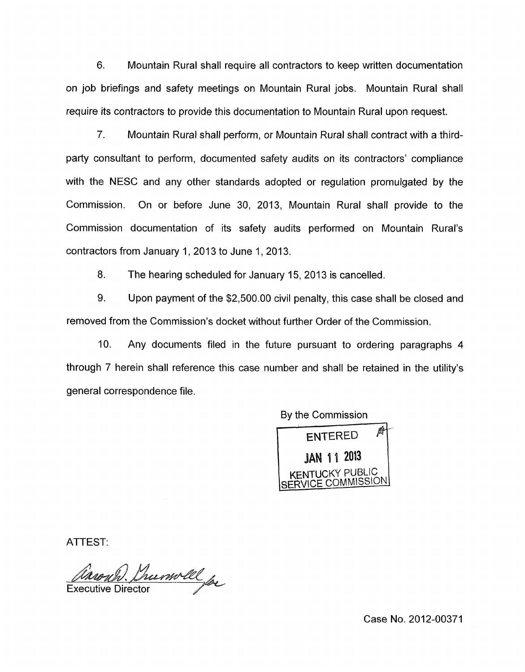6. Mountain Rural shall require all contractors to keep written documentation on job briefings and safety meetings on Mountain Rural jobs. Mountain Rural shall require its contractors to provide this documentation to Mountain Rural upon request.

7. Mountain Rural shall perform, or Mountain Rural shall contract with a thirdparty consultant to perform, documented safety audits on its contractors' compliance with the NESC and any other standards adopted or regulation promulgated by the Commission. On or before June 30, 2013, Mountain Rural shall provide to the Commission documentation of its safety audits performed on Mountain Rural's contractors from January 1, 2013 to June 1, 2013.

8. The hearing scheduled for January 15,2013 is cancelled.

9. Upon payment of the \$2,500.00 civil penalty, this case shall be closed and removed from the Commission's docket without further Order of the Commission,

IO. Any documents filed in the future pursuant to ordering paragraphs **4**  through 7 herein shall reference this case number and shall be retained in the utility's general correspondence file.

By the Commission

ENTERED A **JAN 11 2013 ICKY PUBLIC** SERVICE COMMISSION

ATTEST:

*(Varouh)*. Chumoll for

Case No. 2012-00371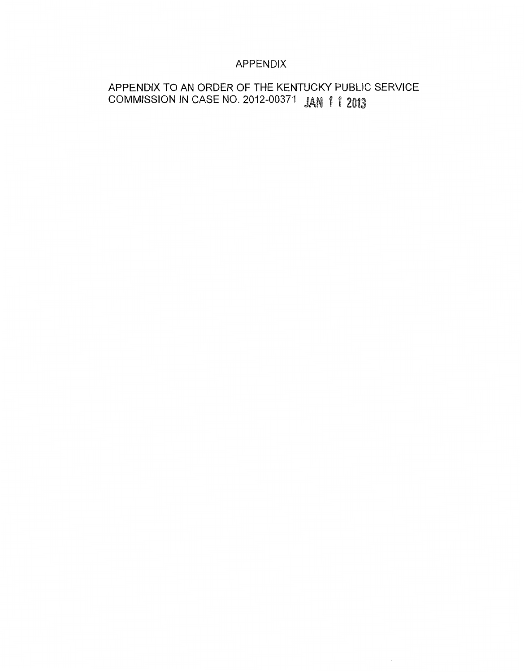# APPENDIX

# APPENDIX TO AN ORDER OF THE KENTUCKY PUBLIC SERVICE COMMISSION IN CASE NO. 2012-00371 JAN 1 1 2013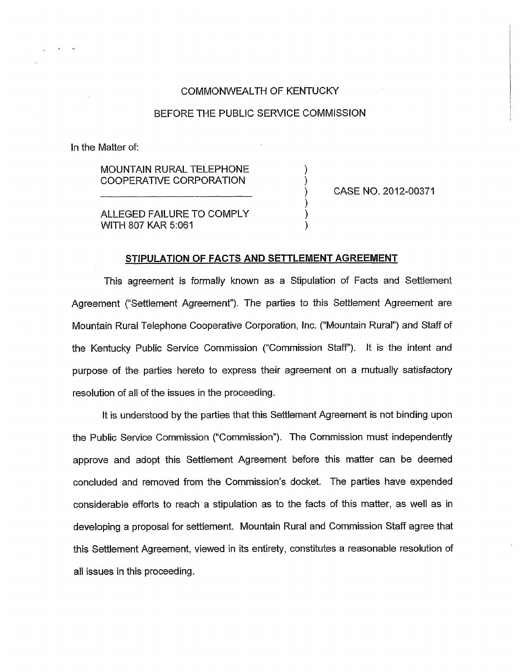## COMMONWEALTH OF KENTUCKY

### BEFORE THE PUBLIC SERVICE COMMISSION

In the Matter of:

MOUNTAIN RURAL TELEPHONE  $\qquad \qquad \text{(OOPERATIVE CORPORTION)}$ COOPERATIVE CORPORATION

CASE NO. 2012-00371

ALLEGED FAILURE TO COMPLY WITH 807 KAR 5:061

# **STIPULATION OF FACTS AND SETTLEMENT AGREEMENT**

) 1

This agreement is formally known as a Stipulation of Facts and Settlement Agreement ("Settlement Agreement"). The parties to this Settlement Agreement are Mountain Rural Telephone Cooperative Corporation, inc. ("Mountain Rural") and Staff of the Kentucky Public Service Commission ("Commission Staff). It *is* the intent and purpose of the parties hereto to express their agreement on a mutually satisfactory resolution of all of the issues in the proceeding.

It is understood by the parties that this Settlement Agreement is not binding upon the Public Service Commission ("Commission"). The Commission must independently approve and adopt this Settlement Agreement before this matter can be deemed concluded and removed from the Commission's docket. The parties have expended considerable efforts to reach a stipulation as to the facts of this matter, as well *as* in developing a proposal for settlement. Mountain Rural and Commission Staff agree that this Settlement Agreement, viewed in its entirety, constitutes a reasonable resolution of all issues in this proceeding.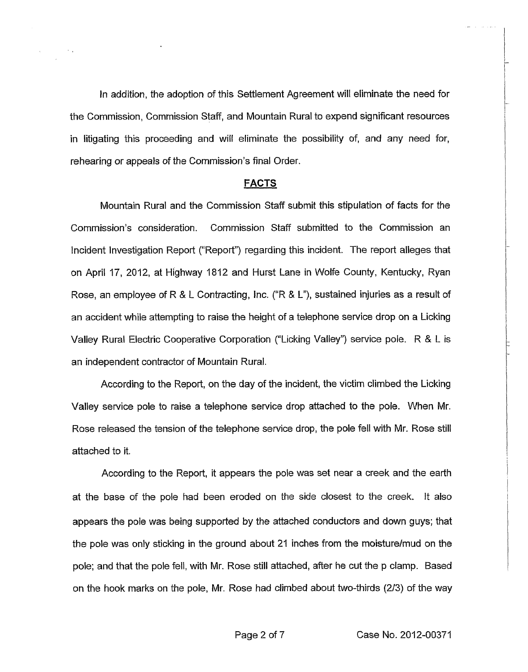In addition, the adoption of this Settlement Agreement will eliminate the need for the Commission, Commission Staff, and Mountain Rural to expend significant resources in litigating this proceeding and will eliminate the possibility of, and any need for, rehearing or appeals of the Commission's final Order.

#### **FACTS**

Mountain Rural and the Commission Staff submit this stipulation of facts for the Commission's consideration. Commission Staff submitted to the Commission an Incident Investigation Report ("Report") regarding this incident. The report alleges that on April 17, 2012, at Highway 1812 and Hurst Lane in Wolfe County, Kentucky, Ryan Rose, an employee of R & L Contracting, Inc. ("R & **L"),** sustained injuries as a result of an accident while attempting to raise the height of a telephone service drop on a Licking Valley Rural Electric Cooperative Corporation ("Licking Valley") service pole. R & **L-** is an independent contractor of Mountain Rural.

According to the Report, on the day of the incident, the victim climbed the Licking Valley service pole to raise a telephone service drop attached to the pole. When Mr. Rose released the tension of the telephone service drop, the pole fell with Mr. Rose still attached to it.

According to the Report, it appears the pole was set near a creek and the earth at the base of the pole had been eroded on the side closest to the creek. It also appears the pole was being supported by the attached conductors and down guys; that the pole was only sticking in the ground about 21 inches from the moisturelmud on the pole; and that the pole fell, with Mr. Rose still attached, after he cut the p clamp. Based on the hook marks on the pole, Mr. Rose had climbed about two-thirds *(213)* of the way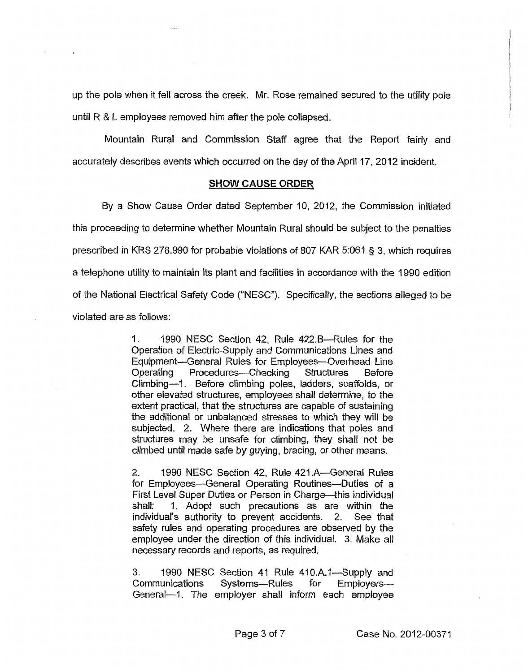up the pole when it fell across the creek. Mr. Rose remained secured to the utility pole until R & **L** employees removed him after the pole collapsed.

Mountain Rural and Commission Staff agree that the Report fairly and accurately describes events which occurred on the day of the April 17, 2012 incident.

#### **SHOW CAUSE ORDER**

By a Show Cause Order dated September IO, 2012, the Commission initiated this proceeding to determine whether Mountain Rural should be subject to the penalties prescribed in KRS 278.990 for probable violations of 807 KAR 5:061 *5* 3, which requires a telephone utility to maintain its plant and facilities in accordance with the 1990 edition of the National Electrical Safety Code ("NESC"). Specifically, the sections alleged to be violated are as follows:

> 1. 1990 NESC Section 42, Rule 422.B-Rules for the Operation of Electric-Supply and Communications Lines and Equipment-General Rules for Employees-Overhead Line Operating Procedures--Checking Structures Before Climbing-1. Before climbing poles, ladders, scaffolds, or other elevated structures, employees shall determine, *to* the extent practical, that the structures are capable of sustaining the additional or unbalanced stresses to which they will be subjected. 2. Where there are indications that poles and structures may be unsafe for climbing, they shall not be climbed until made safe by guying, bracing, or other means.

> 2. 1990 NESC Section 42, Rule 421 A-General Rules for Employees-General Operating Routines-Duties of a First Level Super Duties or Person in Charge-this individual shall: 1. Adopt such precautions as are within the individual's authority to prevent accidents. 2. See that safety rules and operating procedures are observed by the employee under the direction of this individual. 3. Make all necessary records and reports, as required.

> 3. 1990 NESC Section 41 Rule 410.A.1—Supply and Communications Systems---Rules for Employers---General-1. The employer shall inform each employee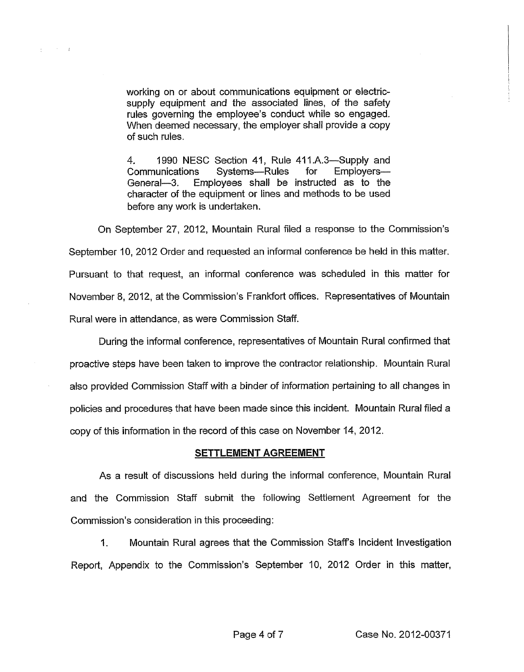working on or about communications equipment or electricsupply equipment and the associated lines, of the safety rules governing the employee's conduct while so engaged. When deemed necessary, the employer shall provide a copy of such rules.

 $\pm$  100  $^{\circ}$  100  $^{\circ}$  100  $^{\circ}$ 

4. 1990 NESC Section 41, Rule 411.A.3—Supply and Communications Systems-Rules for Employers-General-3. Employees shall be instructed as to the character of the equipment or lines and methods to be used before any work is undertaken.

On September 27, 2012, Mountain Rural filed a respanse to the Commission's September 10, 2012 Order and requested an informal conference be held in this matter. Pursuant to that request, an informal conference was scheduled in this matter for November 8, 2012, at the Commission's Frankfort offices. Representatives of Mountain Rural were in attendance, as were Commission Staff.

During the informal conference, representatives of Mountain Rural confirmed that proactive steps have been taken to improve the contractor relationship. Mountain Rural also provided Commission Staff with *a* binder of information pertaining to all changes in policies and procedures that have been made since this incident. Mountain Rural filed a copy of this information in the record of this case on November **14,** 2012.

#### **SETTLEMENT AGREEMENT**

As a result of discussions held during the informal conference, Mountain Rural and the Commission Staff submit the following Settlement Agreement for the Commission's consideration in this proceeding:

I. Mountain Rural agrees that the Commission Staffs Incident investigation Report, Appendix to the Commission's September IO, 2012 Order in this matter,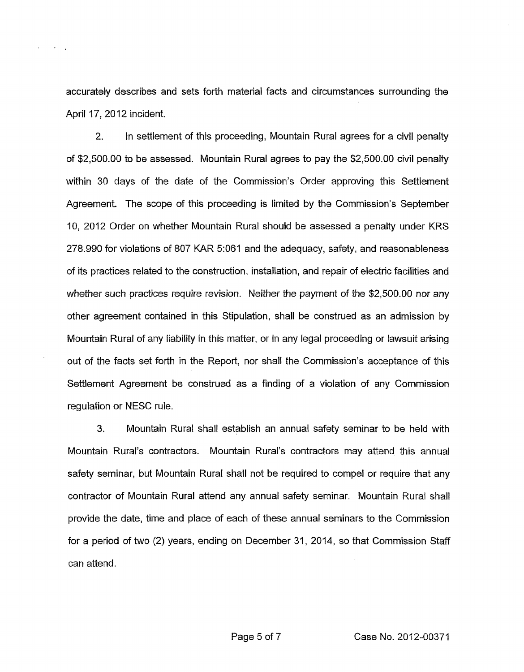accurately describes and sets forth material facts and circumstances surrounding the April 17, 2012 incident.

2. In settlement of this proceeding, Mountain Rural agrees for a civil penalty of \$2,500.00 to be assessed. Mountain Rural agrees to pay the \$2,500.00 civil penalty within 30 days of the date of the Commission's Order approving this Settlement Agreement. The scope of this proceeding is limited by the Commission's September IO, 2012 Order on whether Mountain Rural should be assessed a penalty under KRS 278.990 for violations of 807 KAR 5:061 and the adequacy, safety, and reasonableness of its practices related to the construction, installation, and repair of electric facilities and whether such practices require revision. Neither the payment of the \$2,500.00 nor any other agreement contained in this Stipulation, shall be construed as an admission by Mountain Rural of any liability in this matter, or in any legal proceeding or lawsuit arising out of the facts set forth in the Report, nor shall the Commission's acceptance of this Settlement Agreement be construed as a finding of a violation of any Commission regulation or NESC rule.

*3.* Mountain Rural shall establish an annual safety seminar to be held with Mountain Rural's contractors. Mountain Rural's contractors may attend this annual safety seminar, but Mountain Rural shall not be required to compel or require that any contractor of Mountain Rural attend any annual safety seminar. Mountain Rural shall provide the date, time and place of each of these annual seminars to the Commission for a period of *two* (2) years, ending on December 31, 2014, so that Commission Staff can attend.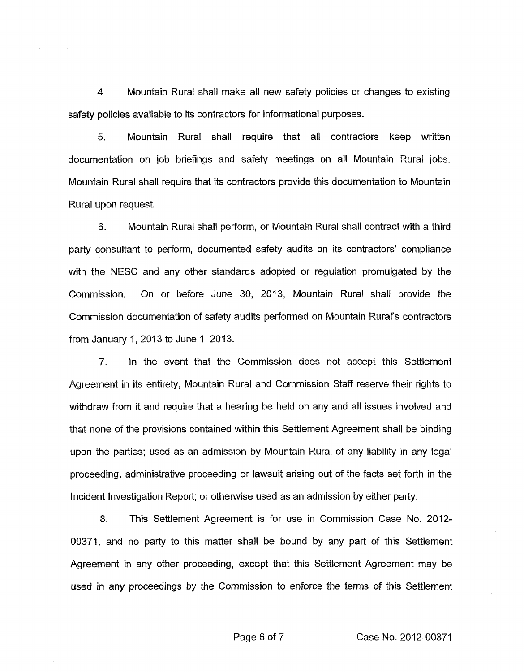**4.** Mountain Rural shall make all new safety policies or changes to existing safety policies available to its contractors for informational purposes.

5. Mountain Rural shall require that all contractors keep written documentation on job briefings and safety meetings on all Mountain Rural jobs. Mountain Rural shall require that its contractors provide this documentation to Mountain Rural upon request.

**6.** Mountain Rural shall perform, or Mountain Rural shall contract with a third party consultant to perform, documented safety audits on its contractors' compliance with the NESC and any other standards adopted or regulation promulgated by the Commission. On or before June 30, 2013, Mountain Rural shall provide the Commission documentation of safety audits performed on Mountain Rural's contractors from January 1, 2013 to June 1, 2013.

7. In the event that the Commission does not accept this Settlement Agreement in its entirety, Mountain Rural and Commission Staff reserve their rights to withdraw from it and require that a hearing be held on any and all issues involved and that none of the provisions contained within this Settlement Agreement shall be binding upon the parties; used as an admission by Mountain Rural of any liability in any legal proceeding, administrative proceeding or lawsuit arising out of the facts set forth in the Incident Investigation Report; or otherwise used as an admission by either party.

8. This Settlement Agreement is for use in Commission Case **No.** 2012- 00371, and no party to this matter shall be bound by any part of this Settlement Agreement in any other proceeding, except that this Settlement Agreement may be used in any proceedings by the Commission to enforce the terms of this Settlement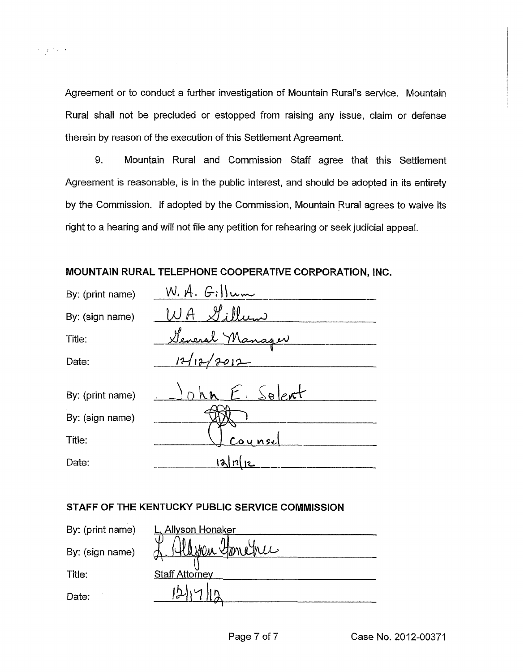Agreement or to conduct a further investigation of Mountain Rural's service. Mountain Rural shall not be precluded or estopped from raising any issue, claim or defense therein by reason of the execution of this Settlement Agreement.

 $\tau = \gamma \tau^2/\kappa \to \kappa$ 

9. Mountain Rural and Commission Staff agree that this Settlement Agreement is reasonable, *is* in the public interest, and should be adopted in its entirety by the Commission. If adopted by the Commission, Mountain Rural agrees to waive its right to a hearing and will not file any petition for rehearing or seek judicial appeal.

**MOUNTAIN RURAL TELEPHONE COOPERATIVE CORPORATION, INC.** 

| By: (print name) | W.A. G.                                  |
|------------------|------------------------------------------|
| By: (sign name)  | $\mathscr{S}$ : $\mathbb{N}_{i,j}$<br>WA |
| Title:           | General Manager                          |
| Date:            | 12/12/2012                               |
| By: (print name) | John E. Selert                           |
| By: (sign name)  |                                          |
| Title:           | Counsel                                  |
| Date:            | $\sim$                                   |

# **STAFF OF THE KENTUCKY PUBLIC SERVICE COMMISSION**

| By: (print name) | Allyson Honaker       |
|------------------|-----------------------|
| By: (sign name)  | Klispen Stenenic      |
| Title:           | <b>Staff Attorney</b> |
| Date:            |                       |